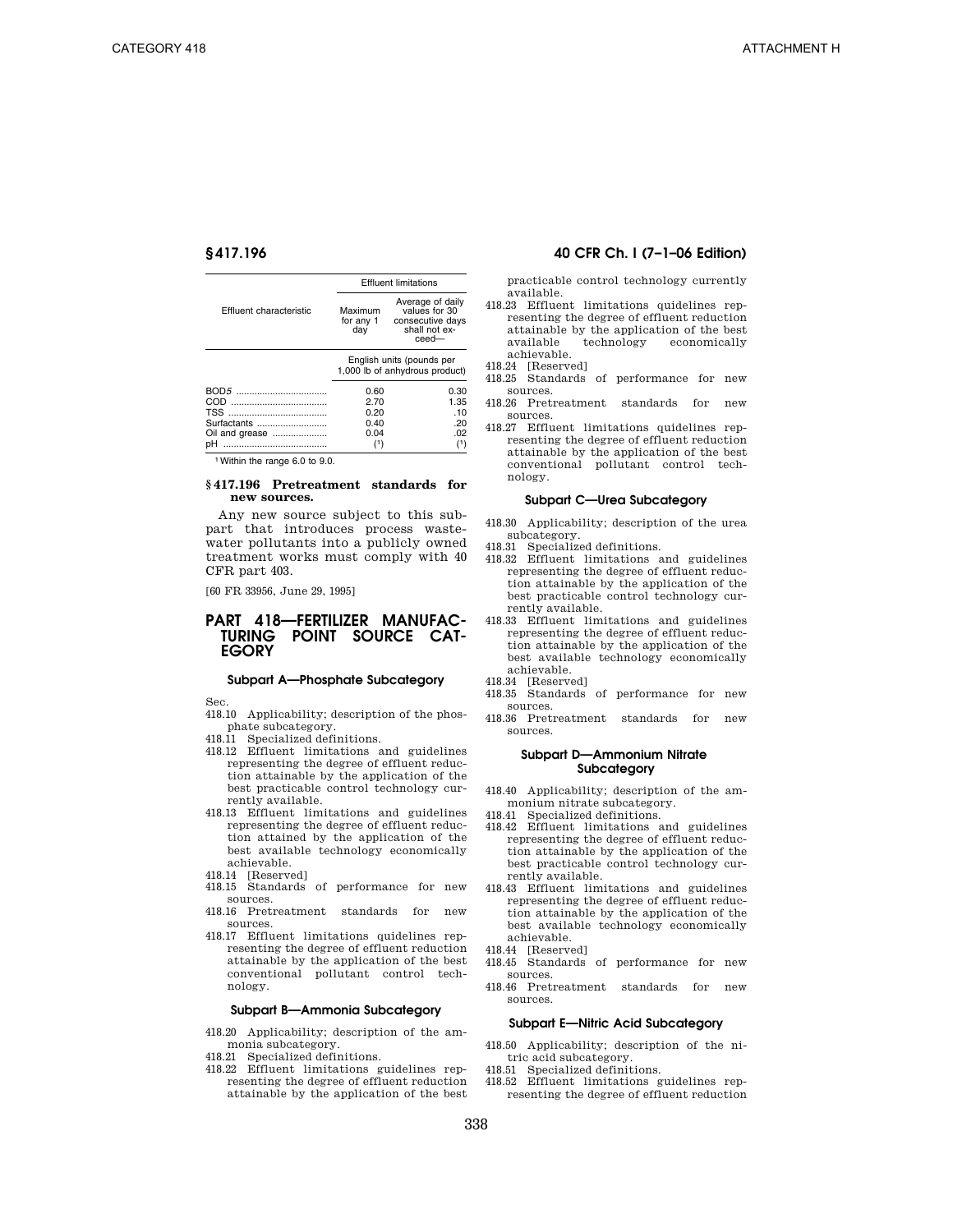|                               | <b>Effluent limitations</b> |                                                                                    |
|-------------------------------|-----------------------------|------------------------------------------------------------------------------------|
| Effluent characteristic       | Maximum<br>for any 1<br>dav | Average of daily<br>values for 30<br>consecutive days<br>shall not ex-<br>$ceed -$ |
|                               |                             | English units (pounds per<br>1,000 lb of anhydrous product)                        |
|                               |                             |                                                                                    |
|                               | 0.60                        | 0.30                                                                               |
|                               | 2.70                        | 1.35                                                                               |
|                               | 0.20                        | .10                                                                                |
|                               | 0.40                        | .20                                                                                |
| Surfactants<br>Oil and grease | 0.04                        | .02                                                                                |

1Within the range 6.0 to 9.0.

# **§ 417.196 Pretreatment standards for new sources.**

Any new source subject to this subpart that introduces process wastewater pollutants into a publicly owned treatment works must comply with 40 CFR part 403.

[60 FR 33956, June 29, 1995]

# **PART 418—FERTILIZER MANUFAC-TURING POINT SOURCE CAT-EGORY**

#### **Subpart A—Phosphate Subcategory**

Sec.

- 418.10 Applicability; description of the phosphate subcategory.
- 418.11 Specialized definitions.
- 418.12 Effluent limitations and guidelines representing the degree of effluent reduction attainable by the application of the best practicable control technology currently available.
- 418.13 Effluent limitations and guidelines representing the degree of effluent reduction attained by the application of the best available technology economically achievable.
- 418.14 [Reserved]
- 418.15 Standards of performance for new sources.
- 418.16 Pretreatment standards for new sources.
- 418.17 Effluent limitations quidelines representing the degree of effluent reduction attainable by the application of the best conventional pollutant control technology.

# **Subpart B—Ammonia Subcategory**

- 418.20 Applicability; description of the ammonia subcategory.
- 418.21 Specialized definitions.
- 418.22 Effluent limitations guidelines representing the degree of effluent reduction attainable by the application of the best

# **§ 417.196 40 CFR Ch. I (7–1–06 Edition)**

practicable control technology currently available.

- 418.23 Effluent limitations quidelines representing the degree of effluent reduction attainable by the application of the best available technology economically achievable.
- 418.24 [Reserved]
- 418.25 Standards of performance for new sources.
- 418.26 Pretreatment standards for new sources.
- 418.27 Effluent limitations quidelines representing the degree of effluent reduction attainable by the application of the best conventional pollutant control technology.

#### **Subpart C—Urea Subcategory**

- 418.30 Applicability; description of the urea subcategory.
- 418.31 Specialized definitions.
- 418.32 Effluent limitations and guidelines representing the degree of effluent reduction attainable by the application of the best practicable control technology currently available.
- 418.33 Effluent limitations and guidelines representing the degree of effluent reduction attainable by the application of the best available technology economically achievable.
- 418.34 [Reserved]
- 418.35 Standards of performance for new sources.
- 418.36 Pretreatment standards for new sources.

## **Subpart D—Ammonium Nitrate Subcategory**

418.40 Applicability; description of the ammonium nitrate subcategory.

- 418.41 Specialized definitions.
- 418.42 Effluent limitations and guidelines representing the degree of effluent reduction attainable by the application of the best practicable control technology currently available.
- 418.43 Effluent limitations and guidelines representing the degree of effluent reduction attainable by the application of the best available technology economically achievable.
- 418.44 [Reserved]
- 418.45 Standards of performance for new sources.
- 418.46 Pretreatment standards for new sources.

# **Subpart E—Nitric Acid Subcategory**

- 418.50 Applicability; description of the nitric acid subcategory.
- 418.51 Specialized definitions.
- 418.52 Effluent limitations guidelines representing the degree of effluent reduction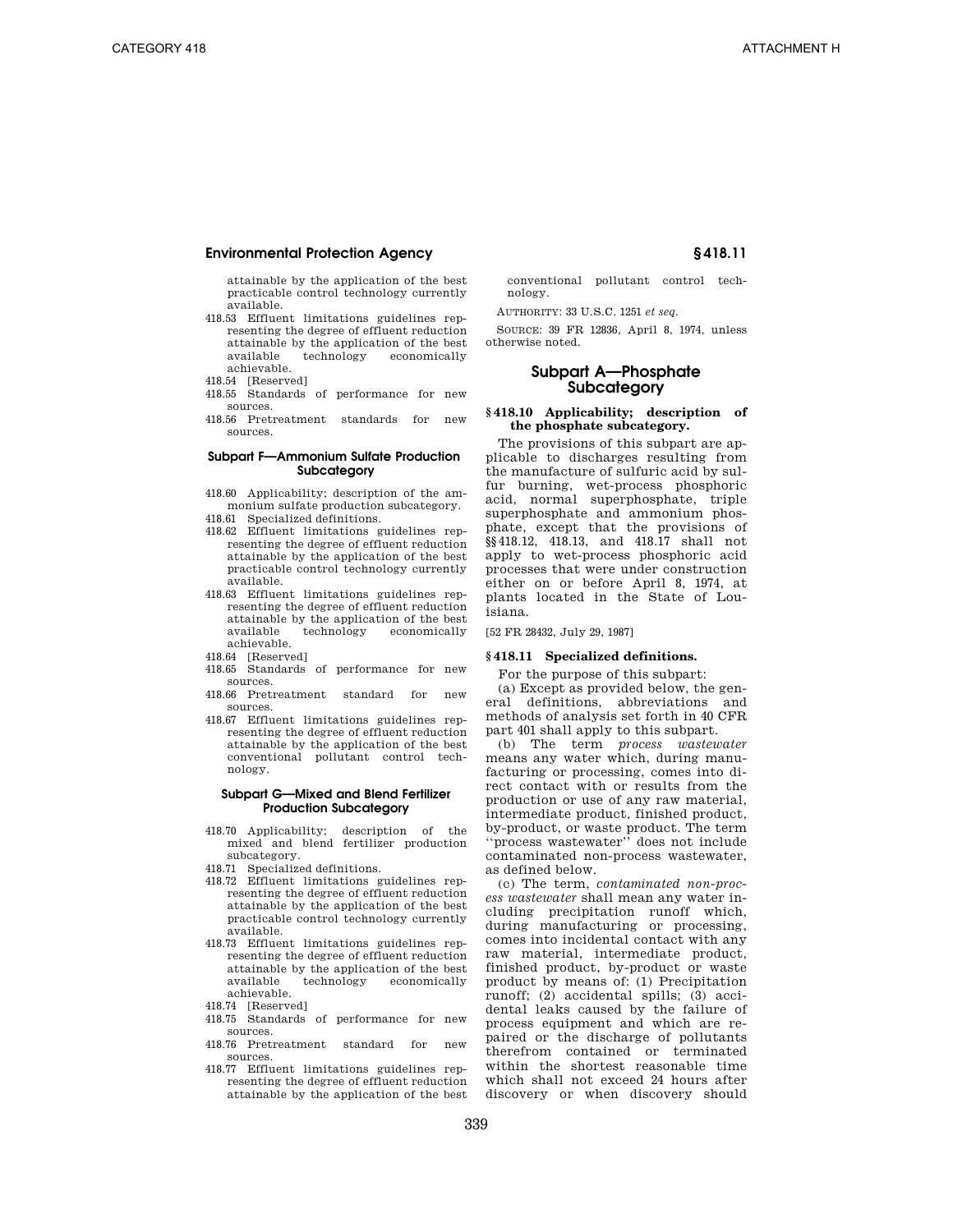attainable by the application of the best practicable control technology currently available.

- 418.53 Effluent limitations guidelines representing the degree of effluent reduction attainable by the application of the best technology achievable.
- 418.54 [Reserved]
- 418.55 Standards of performance for new sources.
- 418.56 Pretreatment standards for new sources.

# **Subpart F—Ammonium Sulfate Production Subcategory**

- 418.60 Applicability; description of the ammonium sulfate production subcategory. 418.61 Specialized definitions.
- 
- 418.62 Effluent limitations guidelines representing the degree of effluent reduction attainable by the application of the best practicable control technology currently available.
- 418.63 Effluent limitations guidelines representing the degree of effluent reduction attainable by the application of the best available technology economically achievable.
- 418.64 [Reserved]
- 418.65 Standards of performance for new sources.
- 418.66 Pretreatment standard for new sources.
- 418.67 Effluent limitations guidelines representing the degree of effluent reduction attainable by the application of the best conventional pollutant control technology.

## **Subpart G—Mixed and Blend Fertilizer Production Subcategory**

- 418.70 Applicability; description of the mixed and blend fertilizer production subcategory.
- 418.71 Specialized definitions.
- 418.72 Effluent limitations guidelines representing the degree of effluent reduction attainable by the application of the best practicable control technology currently available.
- 418.73 Effluent limitations guidelines representing the degree of effluent reduction attainable by the application of the best economically achievable.
- 418.74 [Reserved]
- 418.75 Standards of performance for new sources.
- 418.76 Pretreatment standard for new sources.
- 418.77 Effluent limitations guidelines representing the degree of effluent reduction attainable by the application of the best

conventional pollutant control technology.

AUTHORITY: 33 U.S.C. 1251 *et seq*.

SOURCE: 39 FR 12836, April 8, 1974, unless otherwise noted.

# **Subpart A—Phosphate Subcategory**

#### **§ 418.10 Applicability; description of the phosphate subcategory.**

The provisions of this subpart are applicable to discharges resulting from the manufacture of sulfuric acid by sulfur burning, wet-process phosphoric acid, normal superphosphate, triple superphosphate and ammonium phosphate, except that the provisions of §§418.12, 418.13, and 418.17 shall not apply to wet-process phosphoric acid processes that were under construction either on or before April 8, 1974, at plants located in the State of Louisiana.

[52 FR 28432, July 29, 1987]

# **§ 418.11 Specialized definitions.**

For the purpose of this subpart:

(a) Except as provided below, the general definitions, abbreviations and methods of analysis set forth in 40 CFR part 401 shall apply to this subpart.

(b) The term *process wastewater*  means any water which, during manufacturing or processing, comes into direct contact with or results from the production or use of any raw material, intermediate product, finished product, by-product, or waste product. The term ''process wastewater'' does not include contaminated non-process wastewater, as defined below.

(c) The term, *contaminated non-process wastewater* shall mean any water including precipitation runoff which, during manufacturing or processing, comes into incidental contact with any raw material, intermediate product, finished product, by-product or waste product by means of: (1) Precipitation runoff; (2) accidental spills; (3) accidental leaks caused by the failure of process equipment and which are repaired or the discharge of pollutants therefrom contained or terminated within the shortest reasonable time which shall not exceed 24 hours after discovery or when discovery should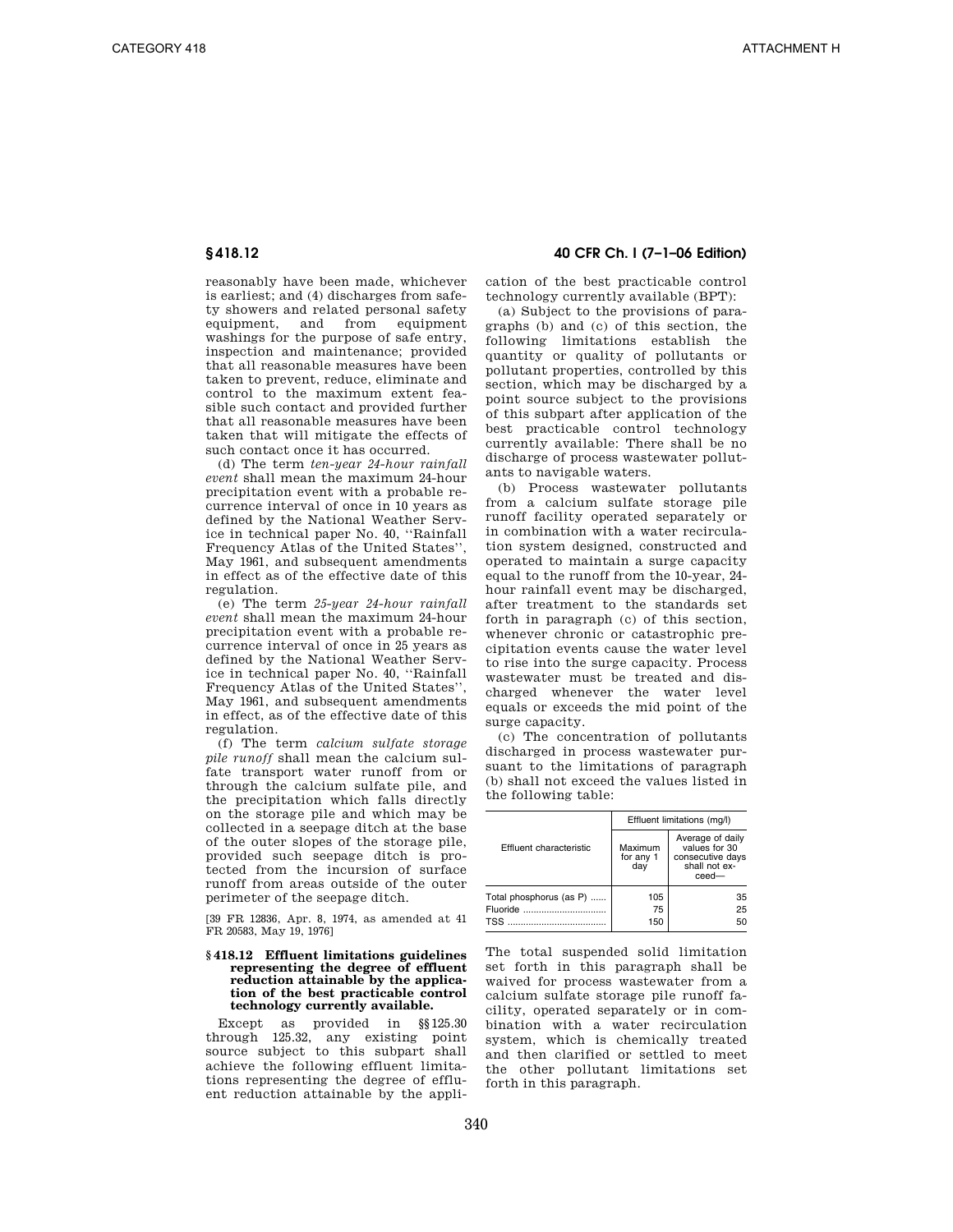reasonably have been made, whichever is earliest; and (4) discharges from safety showers and related personal safety equipment, and from equipment washings for the purpose of safe entry, inspection and maintenance; provided that all reasonable measures have been taken to prevent, reduce, eliminate and control to the maximum extent feasible such contact and provided further that all reasonable measures have been taken that will mitigate the effects of such contact once it has occurred.

(d) The term *ten-year 24-hour rainfall event* shall mean the maximum 24-hour precipitation event with a probable recurrence interval of once in 10 years as defined by the National Weather Service in technical paper No. 40, ''Rainfall Frequency Atlas of the United States'', May 1961, and subsequent amendments in effect as of the effective date of this regulation.

(e) The term *25-year 24-hour rainfall event* shall mean the maximum 24-hour precipitation event with a probable recurrence interval of once in 25 years as defined by the National Weather Service in technical paper No. 40, ''Rainfall Frequency Atlas of the United States'', May 1961, and subsequent amendments in effect, as of the effective date of this regulation.

(f) The term *calcium sulfate storage pile runoff* shall mean the calcium sulfate transport water runoff from or through the calcium sulfate pile, and the precipitation which falls directly on the storage pile and which may be collected in a seepage ditch at the base of the outer slopes of the storage pile, provided such seepage ditch is protected from the incursion of surface runoff from areas outside of the outer perimeter of the seepage ditch.

[39 FR 12836, Apr. 8, 1974, as amended at 41 FR 20583, May 19, 1976]

#### **§ 418.12 Effluent limitations guidelines representing the degree of effluent reduction attainable by the application of the best practicable control technology currently available.**

Except as provided in §§125.30 through 125.32, any existing point source subject to this subpart shall achieve the following effluent limitations representing the degree of effluent reduction attainable by the appli-

# **§ 418.12 40 CFR Ch. I (7–1–06 Edition)**

cation of the best practicable control technology currently available (BPT):

(a) Subject to the provisions of paragraphs (b) and (c) of this section, the following limitations establish the quantity or quality of pollutants or pollutant properties, controlled by this section, which may be discharged by a point source subject to the provisions of this subpart after application of the best practicable control technology currently available: There shall be no discharge of process wastewater pollutants to navigable waters.

(b) Process wastewater pollutants from a calcium sulfate storage pile runoff facility operated separately or in combination with a water recirculation system designed, constructed and operated to maintain a surge capacity equal to the runoff from the 10-year, 24 hour rainfall event may be discharged, after treatment to the standards set forth in paragraph (c) of this section, whenever chronic or catastrophic precipitation events cause the water level to rise into the surge capacity. Process wastewater must be treated and discharged whenever the water level equals or exceeds the mid point of the surge capacity.

(c) The concentration of pollutants discharged in process wastewater pursuant to the limitations of paragraph (b) shall not exceed the values listed in the following table:

|                                                   | Effluent limitations (mg/l) |                                                                                 |
|---------------------------------------------------|-----------------------------|---------------------------------------------------------------------------------|
| Effluent characteristic                           | Maximum<br>for any 1<br>dav | Average of daily<br>values for 30<br>consecutive days<br>shall not ex-<br>ceed- |
| Total phosphorus (as P)<br>Fluoride<br><b>TSS</b> | 105<br>75<br>150            | 35<br>25<br>50                                                                  |

The total suspended solid limitation set forth in this paragraph shall be waived for process wastewater from a calcium sulfate storage pile runoff facility, operated separately or in combination with a water recirculation system, which is chemically treated and then clarified or settled to meet the other pollutant limitations set forth in this paragraph.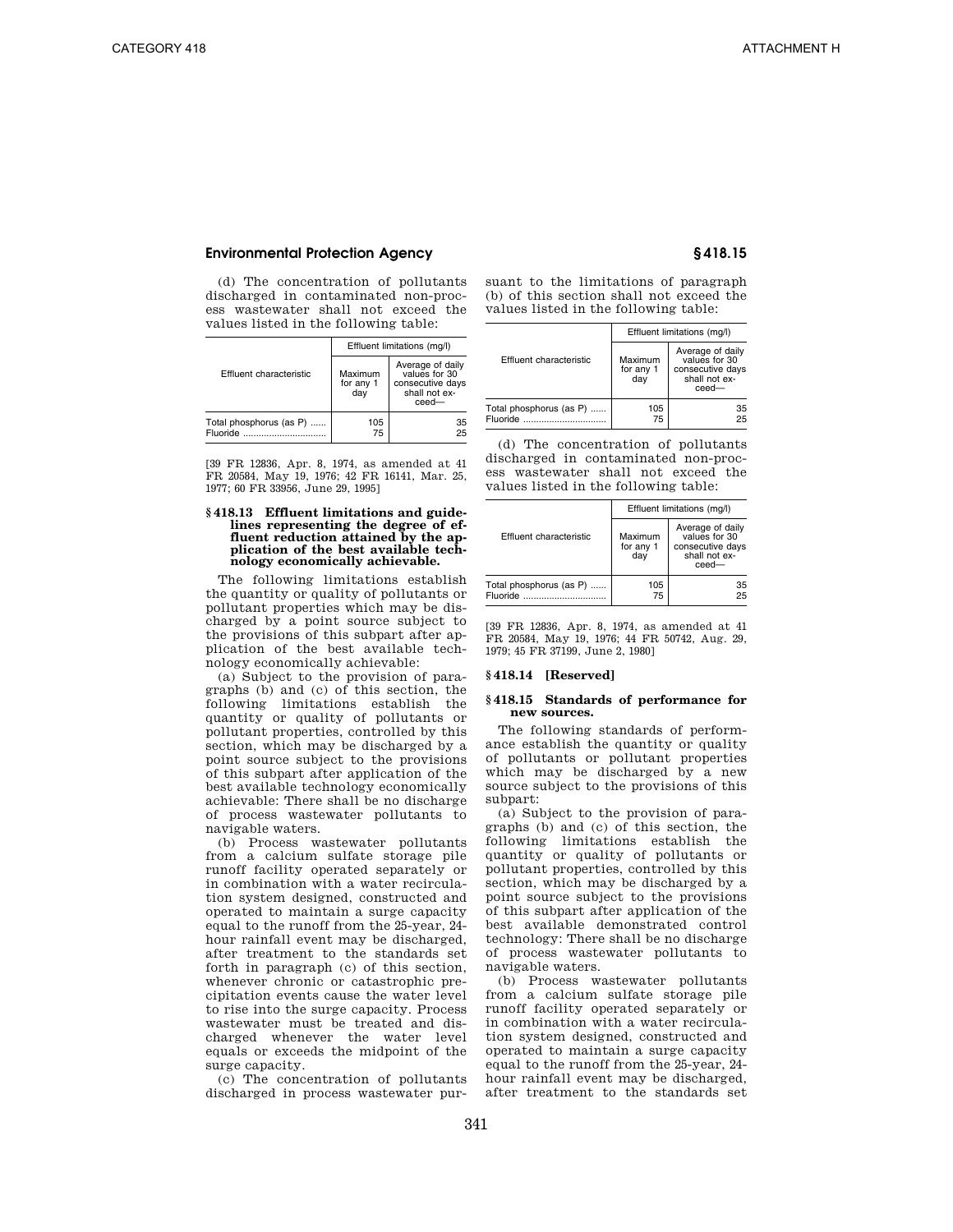(d) The concentration of pollutants discharged in contaminated non-process wastewater shall not exceed the values listed in the following table:

|                                     |                             | Effluent limitations (mg/l)                                                     |
|-------------------------------------|-----------------------------|---------------------------------------------------------------------------------|
| Effluent characteristic             | Maximum<br>for any 1<br>dav | Average of daily<br>values for 30<br>consecutive days<br>shall not ex-<br>ceed- |
| Total phosphorus (as P)<br>Fluoride | 105<br>75                   | 35<br>25                                                                        |

[39 FR 12836, Apr. 8, 1974, as amended at 41 FR 20584, May 19, 1976; 42 FR 16141, Mar. 25, 1977; 60 FR 33956, June 29, 1995]

#### **§ 418.13 Effluent limitations and guidelines representing the degree of effluent reduction attained by the application of the best available technology economically achievable.**

The following limitations establish the quantity or quality of pollutants or pollutant properties which may be discharged by a point source subject to the provisions of this subpart after application of the best available technology economically achievable:

(a) Subject to the provision of paragraphs (b) and (c) of this section, the following limitations establish the quantity or quality of pollutants or pollutant properties, controlled by this section, which may be discharged by a point source subject to the provisions of this subpart after application of the best available technology economically achievable: There shall be no discharge of process wastewater pollutants to navigable waters.

(b) Process wastewater pollutants from a calcium sulfate storage pile runoff facility operated separately or in combination with a water recirculation system designed, constructed and operated to maintain a surge capacity equal to the runoff from the 25-year, 24 hour rainfall event may be discharged, after treatment to the standards set forth in paragraph (c) of this section, whenever chronic or catastrophic precipitation events cause the water level to rise into the surge capacity. Process wastewater must be treated and discharged whenever the water level equals or exceeds the midpoint of the surge capacity.

(c) The concentration of pollutants discharged in process wastewater pursuant to the limitations of paragraph (b) of this section shall not exceed the values listed in the following table:

|                                     | Effluent limitations (mg/l) |                                                                                    |
|-------------------------------------|-----------------------------|------------------------------------------------------------------------------------|
| Effluent characteristic             | Maximum<br>for any 1<br>dav | Average of daily<br>values for 30<br>consecutive days<br>shall not ex-<br>$ceed -$ |
| Total phosphorus (as P)<br>Fluoride | 105<br>75                   | 35<br>25                                                                           |

(d) The concentration of pollutants discharged in contaminated non-process wastewater shall not exceed the values listed in the following table:

|                                     | Effluent limitations (mg/l) |                                                                                 |
|-------------------------------------|-----------------------------|---------------------------------------------------------------------------------|
| Effluent characteristic             | Maximum<br>for any 1<br>dav | Average of daily<br>values for 30<br>consecutive days<br>shall not ex-<br>ceed- |
| Total phosphorus (as P)<br>Fluoride | 105<br>75                   | 35<br>25                                                                        |

[39 FR 12836, Apr. 8, 1974, as amended at 41 FR 20584, May 19, 1976; 44 FR 50742, Aug. 29, 1979; 45 FR 37199, June 2, 1980]

### **§ 418.14 [Reserved]**

# **§ 418.15 Standards of performance for new sources.**

The following standards of performance establish the quantity or quality of pollutants or pollutant properties which may be discharged by a new source subject to the provisions of this subpart:

(a) Subject to the provision of paragraphs (b) and (c) of this section, the following limitations establish the quantity or quality of pollutants or pollutant properties, controlled by this section, which may be discharged by a point source subject to the provisions of this subpart after application of the best available demonstrated control technology: There shall be no discharge of process wastewater pollutants to navigable waters.

(b) Process wastewater pollutants from a calcium sulfate storage pile runoff facility operated separately or in combination with a water recirculation system designed, constructed and operated to maintain a surge capacity equal to the runoff from the 25-year, 24 hour rainfall event may be discharged, after treatment to the standards set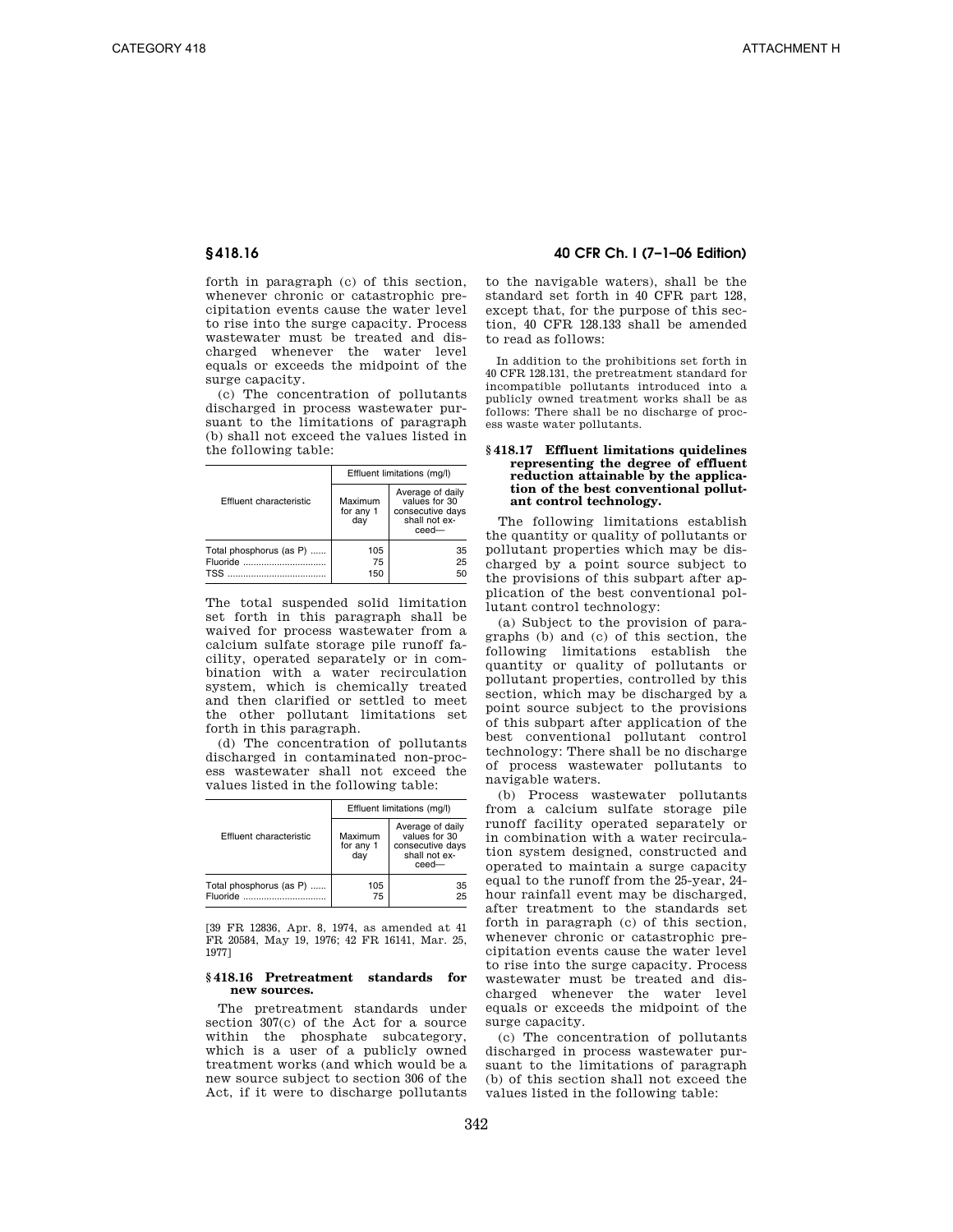forth in paragraph (c) of this section, whenever chronic or catastrophic precipitation events cause the water level to rise into the surge capacity. Process wastewater must be treated and discharged whenever the water level equals or exceeds the midpoint of the surge capacity.

(c) The concentration of pollutants discharged in process wastewater pursuant to the limitations of paragraph (b) shall not exceed the values listed in the following table:

|                                                   | Effluent limitations (mg/l) |                                                                                |
|---------------------------------------------------|-----------------------------|--------------------------------------------------------------------------------|
| Effluent characteristic                           | Maximum<br>for any 1<br>day | Average of daily<br>values for 30<br>consecutive days<br>shall not ex-<br>ceed |
| Total phosphorus (as P)<br>Fluoride<br><b>TSS</b> | 105<br>75<br>150            | 35<br>25<br>50                                                                 |

The total suspended solid limitation set forth in this paragraph shall be waived for process wastewater from a calcium sulfate storage pile runoff facility, operated separately or in combination with a water recirculation system, which is chemically treated and then clarified or settled to meet the other pollutant limitations set forth in this paragraph.

(d) The concentration of pollutants discharged in contaminated non-process wastewater shall not exceed the values listed in the following table:

|                                     | Effluent limitations (mg/l) |                                                                                    |
|-------------------------------------|-----------------------------|------------------------------------------------------------------------------------|
| Effluent characteristic             | Maximum<br>for any 1<br>dav | Average of daily<br>values for 30<br>consecutive days<br>shall not ex-<br>$ceed -$ |
| Total phosphorus (as P)<br>Fluoride | 105<br>75                   | 35<br>25                                                                           |

[39 FR 12836, Apr. 8, 1974, as amended at 41 FR 20584, May 19, 1976; 42 FR 16141, Mar. 25, 1977]

#### **§ 418.16 Pretreatment standards for new sources.**

The pretreatment standards under section 307(c) of the Act for a source within the phosphate subcategory, which is a user of a publicly owned treatment works (and which would be a new source subject to section 306 of the Act, if it were to discharge pollutants

# **§ 418.16 40 CFR Ch. I (7–1–06 Edition)**

to the navigable waters), shall be the standard set forth in 40 CFR part 128, except that, for the purpose of this section, 40 CFR 128.133 shall be amended to read as follows:

In addition to the prohibitions set forth in 40 CFR 128.131, the pretreatment standard for incompatible pollutants introduced into a publicly owned treatment works shall be as follows: There shall be no discharge of process waste water pollutants.

## **§ 418.17 Effluent limitations quidelines representing the degree of effluent reduction attainable by the application of the best conventional pollutant control technology.**

The following limitations establish the quantity or quality of pollutants or pollutant properties which may be discharged by a point source subject to the provisions of this subpart after application of the best conventional pollutant control technology:

(a) Subject to the provision of paragraphs (b) and (c) of this section, the following limitations establish the quantity or quality of pollutants or pollutant properties, controlled by this section, which may be discharged by a point source subject to the provisions of this subpart after application of the best conventional pollutant control technology: There shall be no discharge of process wastewater pollutants to navigable waters.

(b) Process wastewater pollutants from a calcium sulfate storage pile runoff facility operated separately or in combination with a water recirculation system designed, constructed and operated to maintain a surge capacity equal to the runoff from the 25-year, 24 hour rainfall event may be discharged, after treatment to the standards set forth in paragraph (c) of this section, whenever chronic or catastrophic precipitation events cause the water level to rise into the surge capacity. Process wastewater must be treated and discharged whenever the water level equals or exceeds the midpoint of the surge capacity.

(c) The concentration of pollutants discharged in process wastewater pursuant to the limitations of paragraph (b) of this section shall not exceed the values listed in the following table: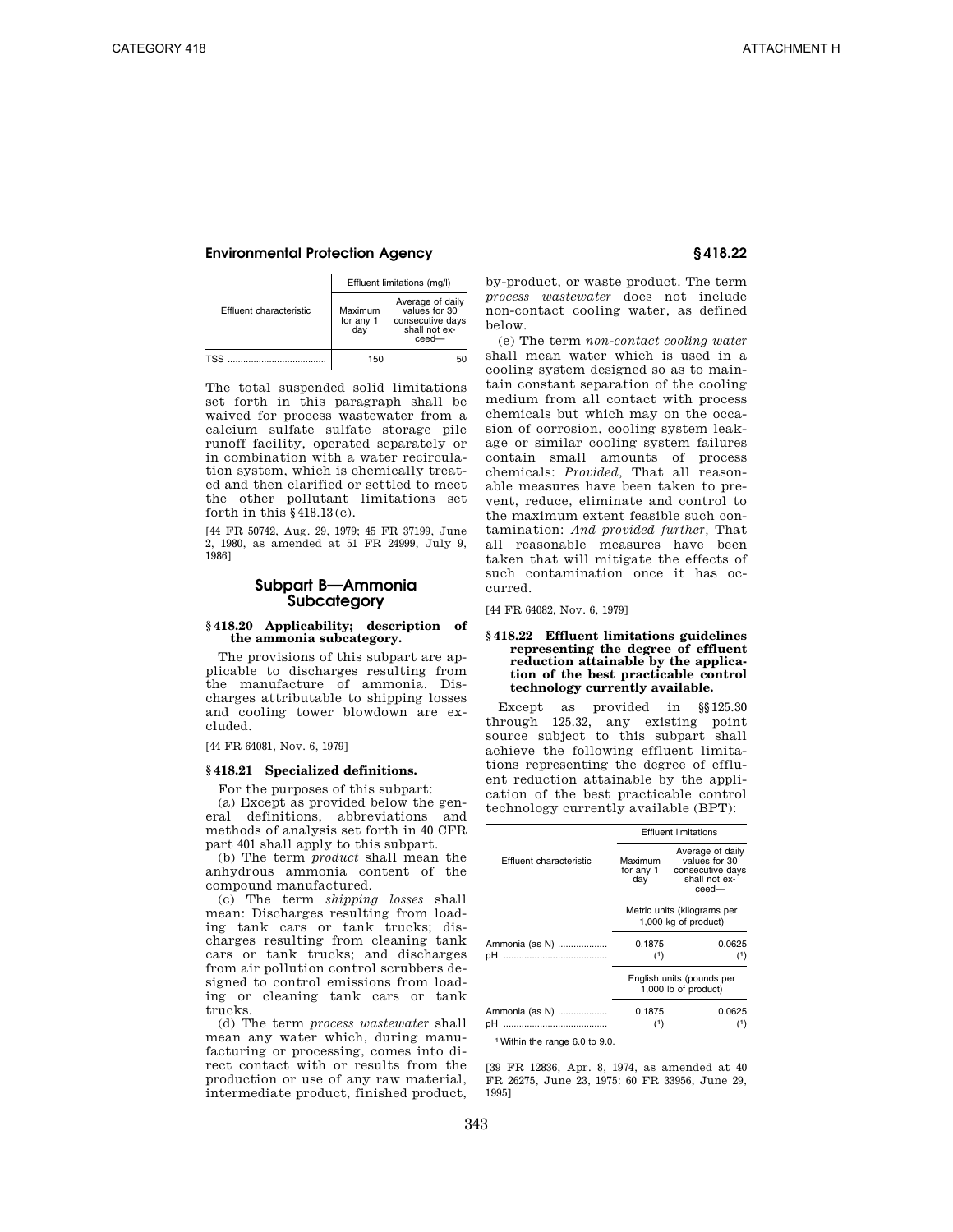|                         | Effluent limitations (mg/l) |                                                                                |
|-------------------------|-----------------------------|--------------------------------------------------------------------------------|
| Effluent characteristic | Maximum<br>for any 1<br>day | Average of daily<br>values for 30<br>consecutive days<br>shall not ex-<br>ceed |
| <b>TSS</b>              | 150                         | 50                                                                             |

The total suspended solid limitations set forth in this paragraph shall be waived for process wastewater from a calcium sulfate sulfate storage pile runoff facility, operated separately or in combination with a water recirculation system, which is chemically treated and then clarified or settled to meet the other pollutant limitations set forth in this §418.13(c).

[44 FR 50742, Aug. 29, 1979; 45 FR 37199, June 2, 1980, as amended at 51 FR 24999, July 9, 1986]

# **Subpart B—Ammonia Subcategory**

#### **§ 418.20 Applicability; description of the ammonia subcategory.**

The provisions of this subpart are applicable to discharges resulting from the manufacture of ammonia. Discharges attributable to shipping losses and cooling tower blowdown are excluded.

### [44 FR 64081, Nov. 6, 1979]

#### **§ 418.21 Specialized definitions.**

For the purposes of this subpart:

(a) Except as provided below the general definitions, abbreviations and methods of analysis set forth in 40 CFR part 401 shall apply to this subpart.

(b) The term *product* shall mean the anhydrous ammonia content of the compound manufactured.

(c) The term *shipping losses* shall mean: Discharges resulting from loading tank cars or tank trucks; discharges resulting from cleaning tank cars or tank trucks; and discharges from air pollution control scrubbers designed to control emissions from loading or cleaning tank cars or tank trucks.

(d) The term *process wastewater* shall mean any water which, during manufacturing or processing, comes into direct contact with or results from the production or use of any raw material, intermediate product, finished product, by-product, or waste product. The term *process wastewater* does not include non-contact cooling water, as defined below.

(e) The term *non-contact cooling water*  shall mean water which is used in a cooling system designed so as to maintain constant separation of the cooling medium from all contact with process chemicals but which may on the occasion of corrosion, cooling system leakage or similar cooling system failures contain small amounts of process chemicals: *Provided,* That all reasonable measures have been taken to prevent, reduce, eliminate and control to the maximum extent feasible such contamination: *And provided further,* That all reasonable measures have been taken that will mitigate the effects of such contamination once it has occurred.

[44 FR 64082, Nov. 6, 1979]

### **§ 418.22 Effluent limitations guidelines representing the degree of effluent reduction attainable by the application of the best practicable control technology currently available.**

Except as provided in §§125.30 through 125.32, any existing point source subject to this subpart shall achieve the following effluent limitations representing the degree of effluent reduction attainable by the application of the best practicable control technology currently available (BPT):

|                         |                             | <b>Effluent limitations</b>                                                        |
|-------------------------|-----------------------------|------------------------------------------------------------------------------------|
| Effluent characteristic | Maximum<br>for any 1<br>day | Average of daily<br>values for 30<br>consecutive days<br>shall not ex-<br>$ceed -$ |
|                         |                             | Metric units (kilograms per<br>1,000 kg of product)                                |
| Ammonia (as N)          | 0.1875                      | 0.0625                                                                             |
| <br>pН                  | (1)                         |                                                                                    |
|                         |                             | English units (pounds per<br>1,000 lb of product)                                  |
| Ammonia (as N)          | 0.1875                      | 0.0625                                                                             |
| pН                      | (1)                         |                                                                                    |

1Within the range 6.0 to 9.0.

[39 FR 12836, Apr. 8, 1974, as amended at 40 FR 26275, June 23, 1975: 60 FR 33956, June 29, 1995]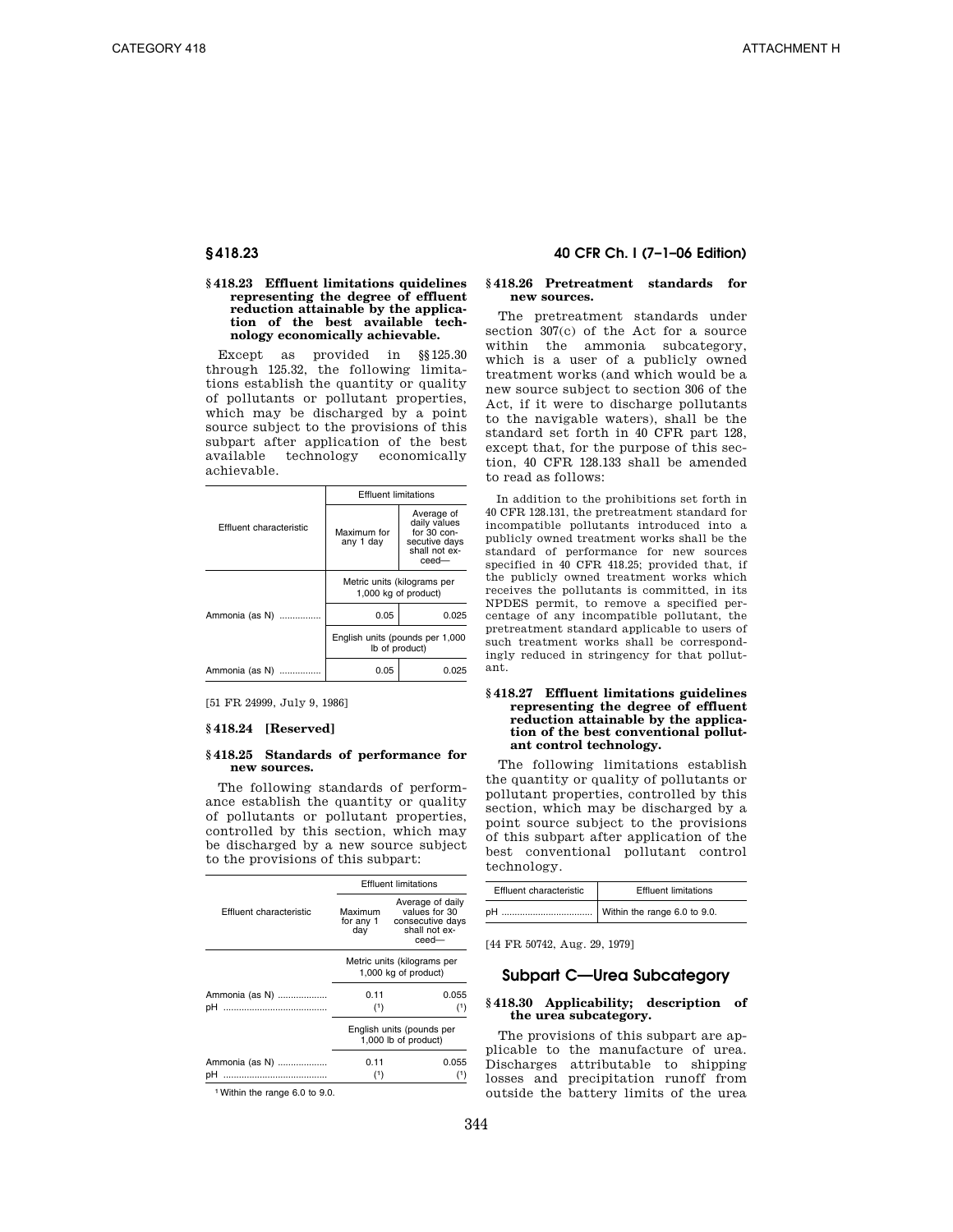### **§ 418.23 Effluent limitations quidelines representing the degree of effluent reduction attainable by the application of the best available technology economically achievable.**

Except as provided in §§125.30 through 125.32, the following limitations establish the quantity or quality of pollutants or pollutant properties, which may be discharged by a point source subject to the provisions of this subpart after application of the best available technology economically achievable.

|                         | <b>Effluent limitations</b>                       |                                                                                           |
|-------------------------|---------------------------------------------------|-------------------------------------------------------------------------------------------|
| Effluent characteristic | Maximum for<br>any 1 day                          | Average of<br>daily values<br>for $30$ con-<br>secutive days<br>shall not ex-<br>$ceed -$ |
|                         |                                                   | Metric units (kilograms per<br>1,000 kg of product)                                       |
| Ammonia (as N)          | 0.05                                              | 0.025                                                                                     |
|                         | English units (pounds per 1,000<br>Ib of product) |                                                                                           |
| Ammonia (as N)          | 0.05                                              | 0.025                                                                                     |

[51 FR 24999, July 9, 1986]

# **§ 418.24 [Reserved]**

# **§ 418.25 Standards of performance for new sources.**

The following standards of performance establish the quantity or quality of pollutants or pollutant properties, controlled by this section, which may be discharged by a new source subject to the provisions of this subpart:

|                         | <b>Effluent limitations</b>                         |                                                                                    |
|-------------------------|-----------------------------------------------------|------------------------------------------------------------------------------------|
| Effluent characteristic | Maximum<br>for any 1<br>day                         | Average of daily<br>values for 30<br>consecutive days<br>shall not ex-<br>$ceed -$ |
|                         | Metric units (kilograms per<br>1,000 kg of product) |                                                                                    |
| Ammonia (as N)          | 0.11                                                | 0.055                                                                              |
| <br>pН                  | (1)                                                 | (1)                                                                                |
|                         |                                                     | English units (pounds per<br>1,000 lb of product)                                  |
| Ammonia (as N)          | 0.11                                                | 0.055                                                                              |
| pН                      | (1)                                                 |                                                                                    |

1Within the range 6.0 to 9.0.

# **§ 418.23 40 CFR Ch. I (7–1–06 Edition)**

### **§ 418.26 Pretreatment standards for new sources.**

The pretreatment standards under section 307(c) of the Act for a source within the ammonia subcategory, which is a user of a publicly owned treatment works (and which would be a new source subject to section 306 of the Act, if it were to discharge pollutants to the navigable waters), shall be the standard set forth in 40 CFR part 128, except that, for the purpose of this section, 40 CFR 128.133 shall be amended to read as follows:

In addition to the prohibitions set forth in 40 CFR 128.131, the pretreatment standard for incompatible pollutants introduced into a publicly owned treatment works shall be the standard of performance for new sources specified in 40 CFR 418.25; provided that, if the publicly owned treatment works which receives the pollutants is committed, in its NPDES permit, to remove a specified percentage of any incompatible pollutant, the pretreatment standard applicable to users of such treatment works shall be correspondingly reduced in stringency for that pollutant.

## **§ 418.27 Effluent limitations guidelines representing the degree of effluent reduction attainable by the application of the best conventional pollutant control technology.**

The following limitations establish the quantity or quality of pollutants or pollutant properties, controlled by this section, which may be discharged by a point source subject to the provisions of this subpart after application of the best conventional pollutant control technology.

| Effluent characteristic | <b>Effluent limitations</b> |
|-------------------------|-----------------------------|
|                         |                             |

[44 FR 50742, Aug. 29, 1979]

# **Subpart C—Urea Subcategory**

# **§ 418.30 Applicability; description of the urea subcategory.**

The provisions of this subpart are applicable to the manufacture of urea. Discharges attributable to shipping losses and precipitation runoff from outside the battery limits of the urea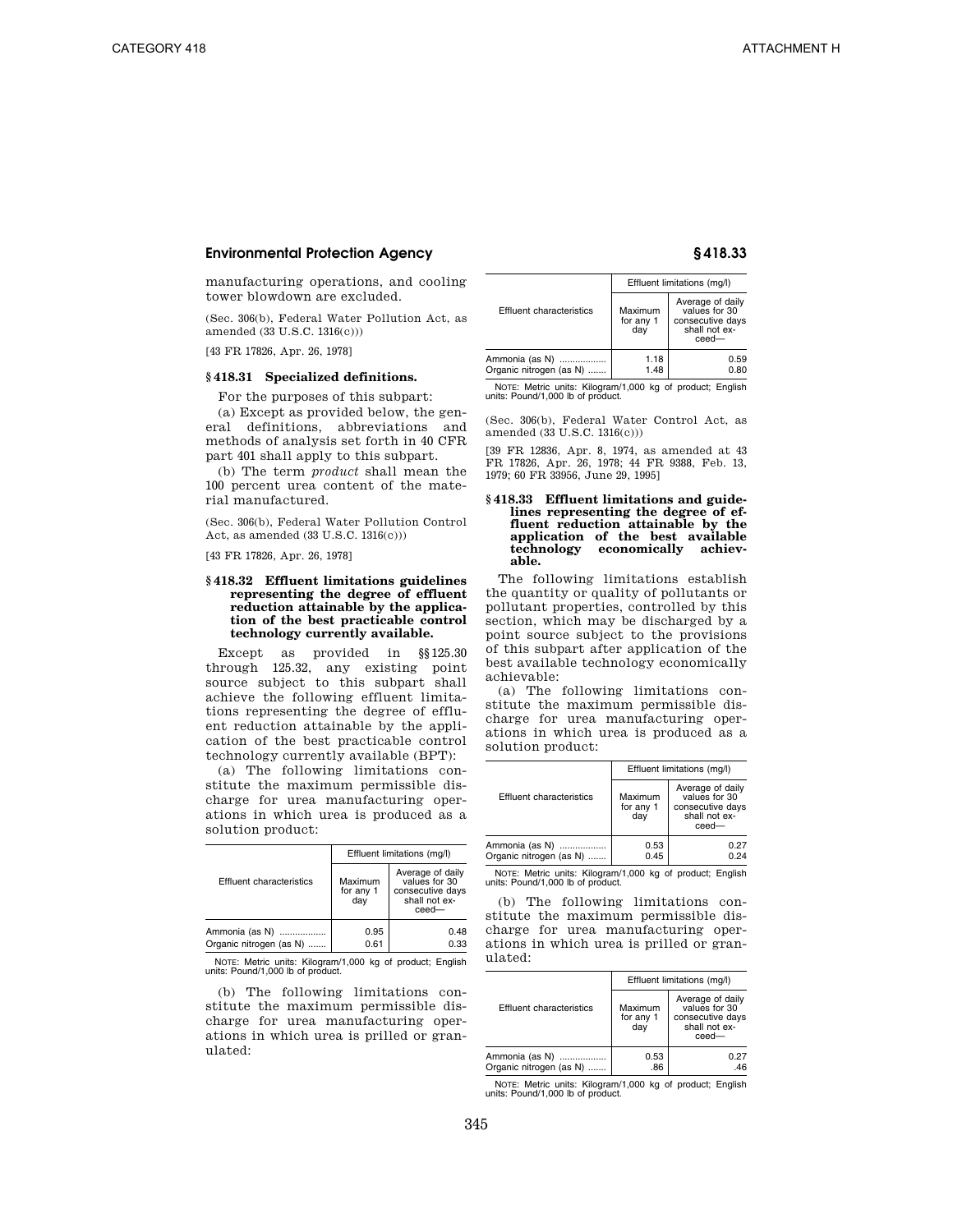manufacturing operations, and cooling tower blowdown are excluded.

(Sec. 306(b), Federal Water Pollution Act, as amended (33 U.S.C. 1316(c)))

[43 FR 17826, Apr. 26, 1978]

# **§ 418.31 Specialized definitions.**

For the purposes of this subpart:

(a) Except as provided below, the general definitions, abbreviations and methods of analysis set forth in 40 CFR part 401 shall apply to this subpart.

(b) The term *product* shall mean the 100 percent urea content of the material manufactured.

(Sec. 306(b), Federal Water Pollution Control Act, as amended (33 U.S.C. 1316(c)))

[43 FR 17826, Apr. 26, 1978]

## **§ 418.32 Effluent limitations guidelines representing the degree of effluent reduction attainable by the application of the best practicable control technology currently available.**

Except as provided in §§125.30 through 125.32, any existing point source subject to this subpart shall achieve the following effluent limitations representing the degree of effluent reduction attainable by the application of the best practicable control technology currently available (BPT):

(a) The following limitations constitute the maximum permissible discharge for urea manufacturing operations in which urea is produced as a solution product:

|                                           | Effluent limitations (mg/l) |                                                                                 |
|-------------------------------------------|-----------------------------|---------------------------------------------------------------------------------|
| <b>Effluent characteristics</b>           | Maximum<br>for any 1<br>dav | Average of daily<br>values for 30<br>consecutive days<br>shall not ex-<br>ceed- |
| Ammonia (as N)<br>Organic nitrogen (as N) | 0.95<br>0.61                | 0.48<br>0.33                                                                    |

NOTE: Metric units: Kilogram/1,000 kg of product; English units: Pound/1,000 lb of product.

(b) The following limitations constitute the maximum permissible discharge for urea manufacturing operations in which urea is prilled or granulated:

|                                           | Effluent limitations (mg/l) |                                                                                 |
|-------------------------------------------|-----------------------------|---------------------------------------------------------------------------------|
| Effluent characteristics                  | Maximum<br>for any 1<br>dav | Average of daily<br>values for 30<br>consecutive days<br>shall not ex-<br>ceed- |
| Ammonia (as N)<br>Organic nitrogen (as N) | 1.18<br>1.48                | 0.59<br>0.80                                                                    |

NOTE: Metric units: Kilogram/1,000 kg of product; English units: Pound/1,000 lb of product.

(Sec. 306(b), Federal Water Control Act, as amended (33 U.S.C. 1316(c)))

[39 FR 12836, Apr. 8, 1974, as amended at 43 FR 17826, Apr. 26, 1978; 44 FR 9388, Feb. 13, 1979; 60 FR 33956, June 29, 1995]

# **§ 418.33 Effluent limitations and guidelines representing the degree of effluent reduction attainable by the application of the best available technology economically achievable.**

The following limitations establish the quantity or quality of pollutants or pollutant properties, controlled by this section, which may be discharged by a point source subject to the provisions of this subpart after application of the best available technology economically achievable:

(a) The following limitations constitute the maximum permissible discharge for urea manufacturing operations in which urea is produced as a solution product:

|                                           | Effluent limitations (mg/l) |                                                                                    |
|-------------------------------------------|-----------------------------|------------------------------------------------------------------------------------|
| Effluent characteristics                  | Maximum<br>for any 1<br>dav | Average of daily<br>values for 30<br>consecutive days<br>shall not ex-<br>$ceed -$ |
| Ammonia (as N)<br>Organic nitrogen (as N) | 0.53<br>0.45                | 0.27<br>0.24                                                                       |

NOTE: Metric units: Kilogram/1,000 kg of product; English units: Pound/1,000 lb of product.

(b) The following limitations constitute the maximum permissible discharge for urea manufacturing operations in which urea is prilled or granulated:

|                                           | Effluent limitations (mg/l) |                                                                                |
|-------------------------------------------|-----------------------------|--------------------------------------------------------------------------------|
| Effluent characteristics                  | Maximum<br>for any 1<br>dav | Average of daily<br>values for 30<br>consecutive days<br>shall not ex-<br>ceed |
| Ammonia (as N)<br>Organic nitrogen (as N) | 0.53<br>.86                 | 0.27<br>.46                                                                    |

NOTE: Metric units: Kilogram/1,000 kg of product; English units: Pound/1,000 lb of product.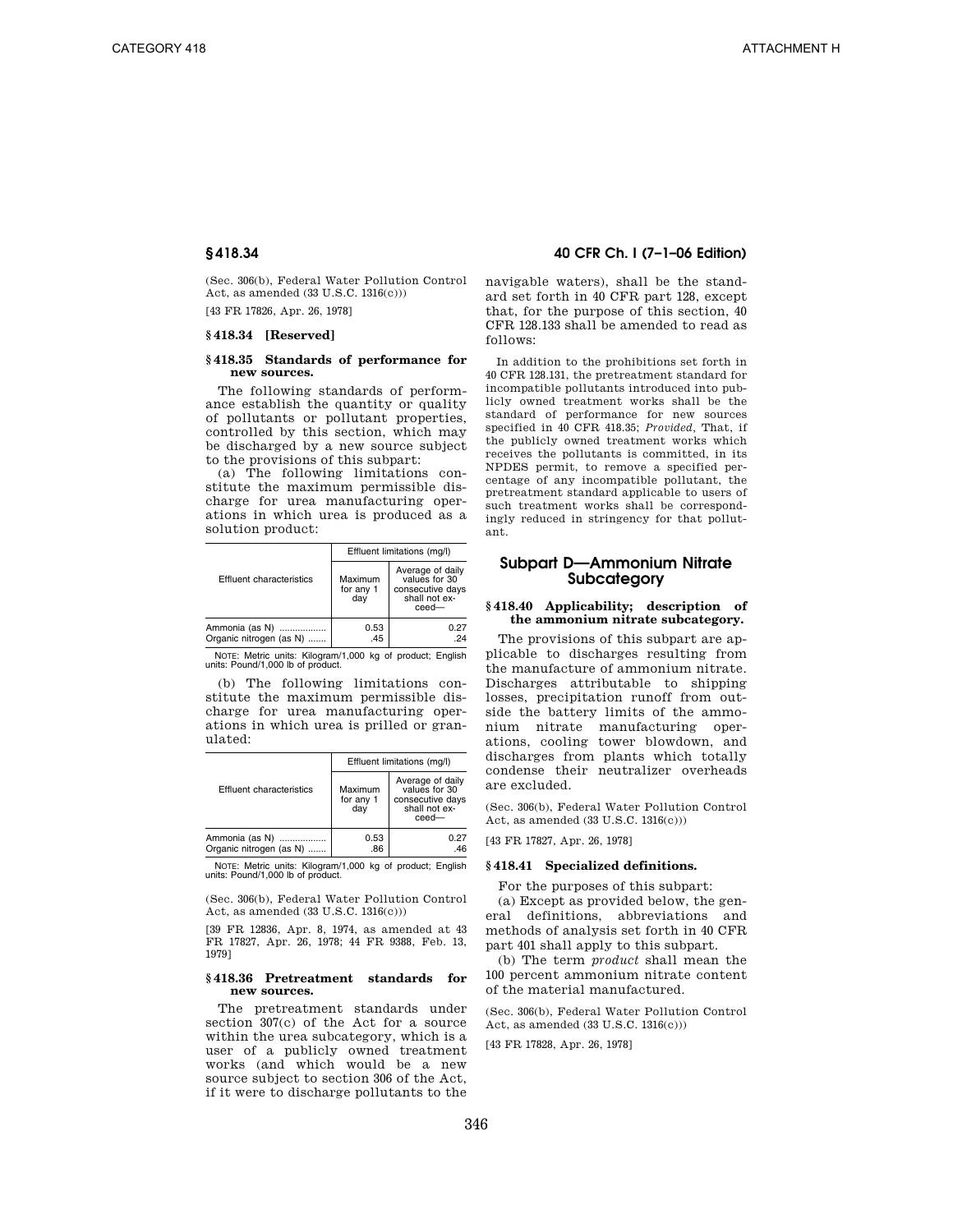(Sec. 306(b), Federal Water Pollution Control Act, as amended (33 U.S.C. 1316(c)))

[43 FR 17826, Apr. 26, 1978]

# **§ 418.34 [Reserved]**

# **§ 418.35 Standards of performance for new sources.**

The following standards of performance establish the quantity or quality of pollutants or pollutant properties, controlled by this section, which may be discharged by a new source subject to the provisions of this subpart:

(a) The following limitations constitute the maximum permissible discharge for urea manufacturing operations in which urea is produced as a solution product:

|                                           | Effluent limitations (mg/l) |                                                                                 |
|-------------------------------------------|-----------------------------|---------------------------------------------------------------------------------|
| Effluent characteristics                  | Maximum<br>for any 1<br>dav | Average of daily<br>values for 30<br>consecutive days<br>shall not ex-<br>ceed- |
| Ammonia (as N)<br>Organic nitrogen (as N) | 0.53<br>.45                 | 0.27<br>24                                                                      |

NOTE: Metric units: Kilogram/1,000 kg of product; English units: Pound/1,000 lb of product.

(b) The following limitations constitute the maximum permissible discharge for urea manufacturing operations in which urea is prilled or granulated:

|                                           | Effluent limitations (mg/l) |                                                                                 |
|-------------------------------------------|-----------------------------|---------------------------------------------------------------------------------|
| Effluent characteristics                  | Maximum<br>for any 1<br>dav | Average of daily<br>values for 30<br>consecutive days<br>shall not ex-<br>ceed- |
| Ammonia (as N)<br>Organic nitrogen (as N) | 0.53<br>.86                 | 0.27<br>.46                                                                     |

NOTE: Metric units: Kilogram/1,000 kg of product; English units: Pound/1,000 lb of product.

(Sec. 306(b), Federal Water Pollution Control Act, as amended (33 U.S.C. 1316(c)))

[39 FR 12836, Apr. 8, 1974, as amended at 43 FR 17827, Apr. 26, 1978; 44 FR 9388, Feb. 13, 1979]

# **§ 418.36 Pretreatment standards for new sources.**

The pretreatment standards under section 307(c) of the Act for a source within the urea subcategory, which is a user of a publicly owned treatment works (and which would be a new source subject to section 306 of the Act, if it were to discharge pollutants to the

# **§ 418.34 40 CFR Ch. I (7–1–06 Edition)**

navigable waters), shall be the standard set forth in 40 CFR part 128, except that, for the purpose of this section, 40 CFR 128.133 shall be amended to read as follows:

In addition to the prohibitions set forth in 40 CFR 128.131, the pretreatment standard for incompatible pollutants introduced into publicly owned treatment works shall be the standard of performance for new sources specified in 40 CFR 418.35; *Provided,* That, if the publicly owned treatment works which receives the pollutants is committed, in its NPDES permit, to remove a specified percentage of any incompatible pollutant, the pretreatment standard applicable to users of such treatment works shall be correspondingly reduced in stringency for that pollutant.

# **Subpart D—Ammonium Nitrate Subcategory**

# **§ 418.40 Applicability; description of the ammonium nitrate subcategory.**

The provisions of this subpart are applicable to discharges resulting from the manufacture of ammonium nitrate. Discharges attributable to shipping losses, precipitation runoff from outside the battery limits of the ammonium nitrate manufacturing operations, cooling tower blowdown, and discharges from plants which totally condense their neutralizer overheads are excluded.

(Sec. 306(b), Federal Water Pollution Control Act, as amended (33 U.S.C. 1316(c)))

[43 FR 17827, Apr. 26, 1978]

# **§ 418.41 Specialized definitions.**

For the purposes of this subpart:

(a) Except as provided below, the general definitions, abbreviations and methods of analysis set forth in 40 CFR part 401 shall apply to this subpart.

(b) The term *product* shall mean the 100 percent ammonium nitrate content of the material manufactured.

(Sec. 306(b), Federal Water Pollution Control Act, as amended (33 U.S.C. 1316(c)))

[43 FR 17828, Apr. 26, 1978]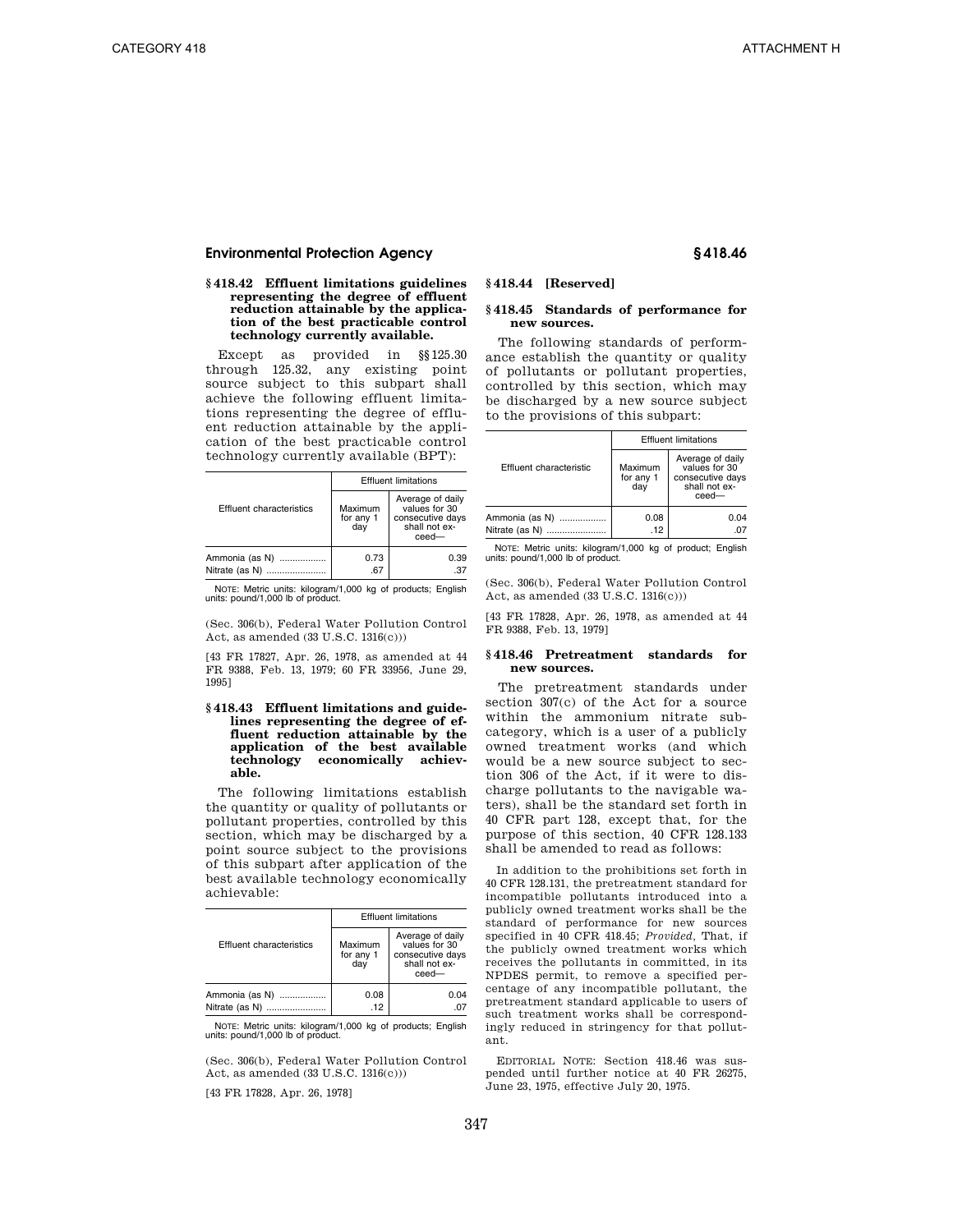### **§ 418.42 Effluent limitations guidelines representing the degree of effluent reduction attainable by the application of the best practicable control technology currently available.**

Except as provided in §§125.30 through 125.32, any existing point source subject to this subpart shall achieve the following effluent limitations representing the degree of effluent reduction attainable by the application of the best practicable control technology currently available (BPT):

|                                  |                             | <b>Effluent limitations</b>                                                        |  |
|----------------------------------|-----------------------------|------------------------------------------------------------------------------------|--|
| Effluent characteristics         | Maximum<br>for any 1<br>dav | Average of daily<br>values for 30<br>consecutive days<br>shall not ex-<br>$ceed -$ |  |
| Ammonia (as N)<br>Nitrate (as N) | 0.73<br>.67                 | 0.39                                                                               |  |

NOTE: Metric units: kilogram/1,000 kg of products; English units: pound/1,000 lb of product.

(Sec. 306(b), Federal Water Pollution Control Act, as amended (33 U.S.C. 1316(c)))

[43 FR 17827, Apr. 26, 1978, as amended at 44 FR 9388, Feb. 13, 1979; 60 FR 33956, June 29, 1995]

### **§ 418.43 Effluent limitations and guidelines representing the degree of effluent reduction attainable by the application of the best available technology economically achievable.**

The following limitations establish the quantity or quality of pollutants or pollutant properties, controlled by this section, which may be discharged by a point source subject to the provisions of this subpart after application of the best available technology economically achievable:

|                                       | <b>Effluent limitations</b> |                                                                                 |
|---------------------------------------|-----------------------------|---------------------------------------------------------------------------------|
| Effluent characteristics              | Maximum<br>for any 1<br>dav | Average of daily<br>values for 30<br>consecutive days<br>shall not ex-<br>ceed- |
| Ammonia (as N)<br>Nitrate (as N)<br>. | 0.08<br>.12                 | 0.04                                                                            |

NOTE: Metric units: kilogram/1,000 kg of products; English units: pound/1,000 lb of product.

(Sec. 306(b), Federal Water Pollution Control Act, as amended (33 U.S.C. 1316(c)))

[43 FR 17828, Apr. 26, 1978]

# **§ 418.44 [Reserved]**

# **§ 418.45 Standards of performance for new sources.**

The following standards of performance establish the quantity or quality of pollutants or pollutant properties, controlled by this section, which may be discharged by a new source subject to the provisions of this subpart:

|                                  | <b>Effluent limitations</b> |                                                                                |
|----------------------------------|-----------------------------|--------------------------------------------------------------------------------|
| Effluent characteristic          | Maximum<br>for any 1<br>dav | Average of daily<br>values for 30<br>consecutive days<br>shall not ex-<br>ceed |
| Ammonia (as N)<br>Nitrate (as N) | 0.08<br>.12                 | 0.04<br>07                                                                     |

NOTE: Metric units: kilogram/1,000 kg of product; English units: pound/1,000 lb of product.

(Sec. 306(b), Federal Water Pollution Control Act, as amended (33 U.S.C. 1316(c)))

[43 FR 17828, Apr. 26, 1978, as amended at 44 FR 9388, Feb. 13, 1979]

#### **§ 418.46 Pretreatment standards for new sources.**

The pretreatment standards under section 307(c) of the Act for a source within the ammonium nitrate subcategory, which is a user of a publicly owned treatment works (and which would be a new source subject to section 306 of the Act, if it were to discharge pollutants to the navigable waters), shall be the standard set forth in 40 CFR part 128, except that, for the purpose of this section, 40 CFR 128.133 shall be amended to read as follows:

In addition to the prohibitions set forth in 40 CFR 128.131, the pretreatment standard for incompatible pollutants introduced into a publicly owned treatment works shall be the standard of performance for new sources specified in 40 CFR 418.45; *Provided,* That, if the publicly owned treatment works which receives the pollutants in committed, in its NPDES permit, to remove a specified percentage of any incompatible pollutant, the pretreatment standard applicable to users of such treatment works shall be correspondingly reduced in stringency for that pollutant.

EDITORIAL NOTE: Section 418.46 was suspended until further notice at 40 FR 26275, June 23, 1975, effective July 20, 1975.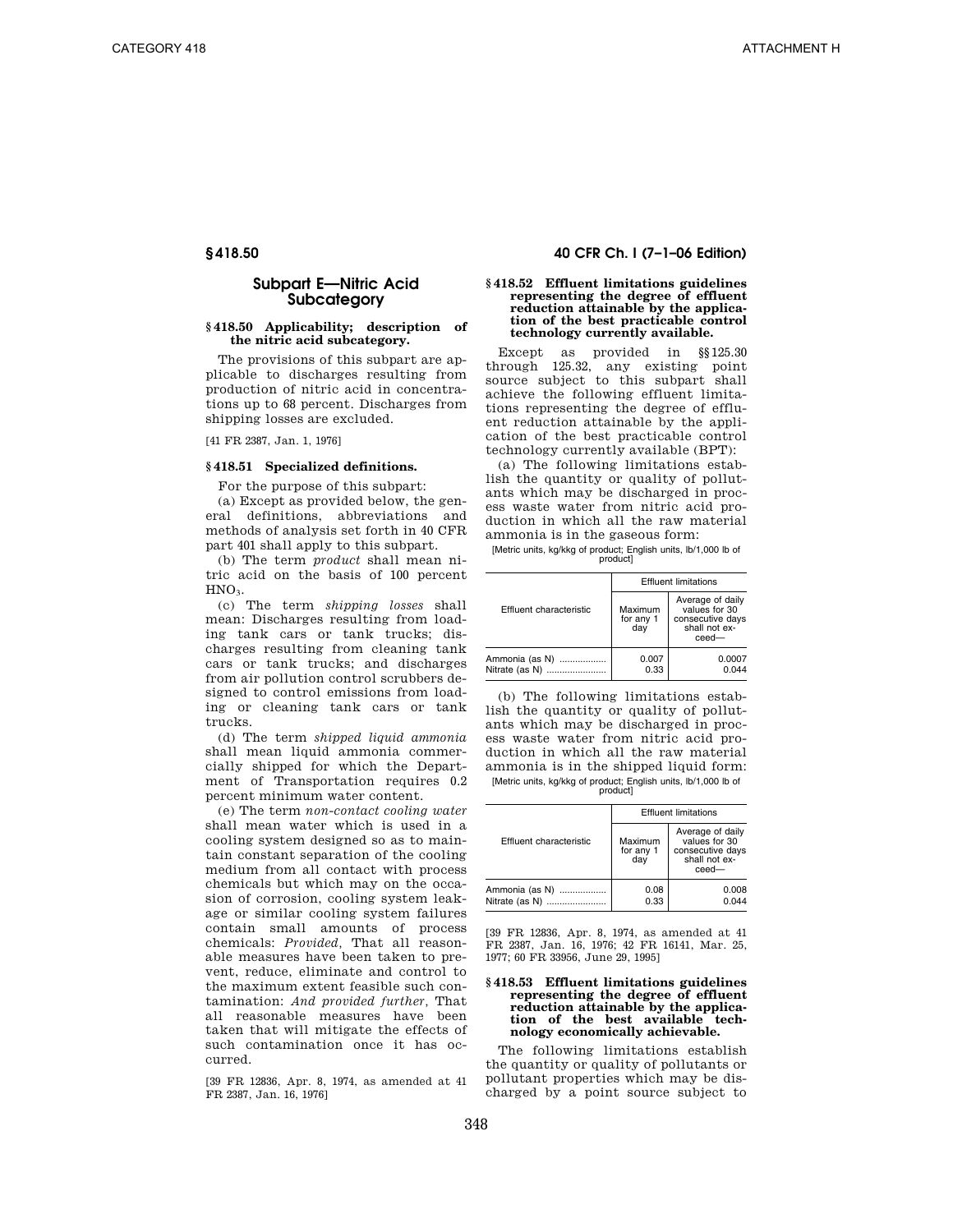# **Subpart E—Nitric Acid Subcategory**

# **§ 418.50 Applicability; description of the nitric acid subcategory.**

The provisions of this subpart are applicable to discharges resulting from production of nitric acid in concentrations up to 68 percent. Discharges from shipping losses are excluded.

[41 FR 2387, Jan. 1, 1976]

#### **§ 418.51 Specialized definitions.**

For the purpose of this subpart:

(a) Except as provided below, the general definitions, abbreviations and methods of analysis set forth in 40 CFR part 401 shall apply to this subpart.

(b) The term *product* shall mean nitric acid on the basis of 100 percent HNO<sub>3</sub>.

(c) The term *shipping losses* shall mean: Discharges resulting from loading tank cars or tank trucks; discharges resulting from cleaning tank cars or tank trucks; and discharges from air pollution control scrubbers designed to control emissions from loading or cleaning tank cars or tank trucks.

(d) The term *shipped liquid ammonia*  shall mean liquid ammonia commercially shipped for which the Department of Transportation requires 0.2 percent minimum water content.

(e) The term *non-contact cooling water*  shall mean water which is used in a cooling system designed so as to maintain constant separation of the cooling medium from all contact with process chemicals but which may on the occasion of corrosion, cooling system leakage or similar cooling system failures contain small amounts of process chemicals: *Provided,* That all reasonable measures have been taken to prevent, reduce, eliminate and control to the maximum extent feasible such contamination: *And provided further,* That all reasonable measures have been taken that will mitigate the effects of such contamination once it has occurred.

[39 FR 12836, Apr. 8, 1974, as amended at 41 FR 2387, Jan. 16, 1976]

# **§ 418.50 40 CFR Ch. I (7–1–06 Edition)**

#### **§ 418.52 Effluent limitations guidelines representing the degree of effluent reduction attainable by the application of the best practicable control technology currently available.**

Except as provided in §§125.30 through 125.32, any existing point source subject to this subpart shall achieve the following effluent limitations representing the degree of effluent reduction attainable by the application of the best practicable control technology currently available (BPT):

(a) The following limitations establish the quantity or quality of pollutants which may be discharged in process waste water from nitric acid production in which all the raw material ammonia is in the gaseous form:

[Metric units, kg/kkg of product; English units, lb/1,000 lb of product]

|                                  | <b>Effluent limitations</b> |                                                                                    |
|----------------------------------|-----------------------------|------------------------------------------------------------------------------------|
| Effluent characteristic          | Maximum<br>for any 1<br>dav | Average of daily<br>values for 30<br>consecutive days<br>shall not ex-<br>$ceed -$ |
| Ammonia (as N)<br>Nitrate (as N) | 0.007<br>0.33               | 0.0007<br>0 044                                                                    |

(b) The following limitations establish the quantity or quality of pollutants which may be discharged in process waste water from nitric acid production in which all the raw material ammonia is in the shipped liquid form: [Metric units, kg/kkg of product; English units, lb/1,000 lb of product]

|                                  | <b>Effluent limitations</b> |                                                                                    |
|----------------------------------|-----------------------------|------------------------------------------------------------------------------------|
| Effluent characteristic          | Maximum<br>for any 1<br>dav | Average of daily<br>values for 30<br>consecutive days<br>shall not ex-<br>$ceed -$ |
| Ammonia (as N)<br>Nitrate (as N) | 0.08<br>0.33                | 0.008<br>0.044                                                                     |

[39 FR 12836, Apr. 8, 1974, as amended at 41 FR 2387, Jan. 16, 1976; 42 FR 16141, Mar. 25, 1977; 60 FR 33956, June 29, 1995]

# **§ 418.53 Effluent limitations guidelines representing the degree of effluent reduction attainable by the application of the best available tech-nology economically achievable.**

The following limitations establish the quantity or quality of pollutants or pollutant properties which may be discharged by a point source subject to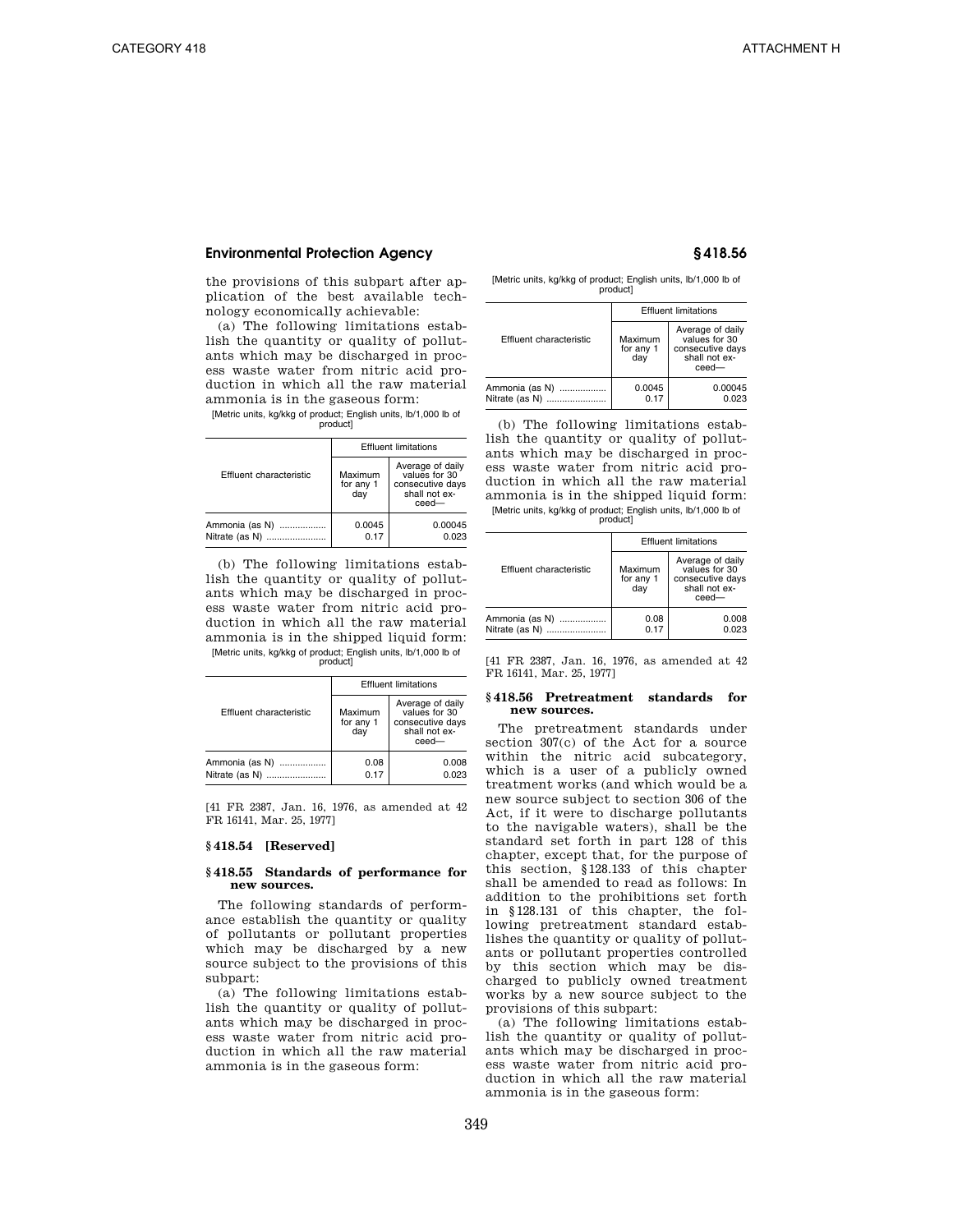the provisions of this subpart after application of the best available technology economically achievable:

(a) The following limitations establish the quantity or quality of pollutants which may be discharged in process waste water from nitric acid production in which all the raw material ammonia is in the gaseous form:

[Metric units, kg/kkg of product; English units, lb/1,000 lb of product]

|                                  | <b>Effluent limitations</b> |                                                                                |
|----------------------------------|-----------------------------|--------------------------------------------------------------------------------|
| Effluent characteristic          | Maximum<br>for any 1<br>day | Average of daily<br>values for 30<br>consecutive days<br>shall not ex-<br>ceed |
| Ammonia (as N)<br>Nitrate (as N) | 0.0045<br>0.17              | 0.00045<br>0.023                                                               |

(b) The following limitations establish the quantity or quality of pollutants which may be discharged in process waste water from nitric acid production in which all the raw material ammonia is in the shipped liquid form: [Metric units, kg/kkg of product; English units, lb/1,000 lb of product]

|                                  | <b>Effluent limitations</b> |                                                                                    |
|----------------------------------|-----------------------------|------------------------------------------------------------------------------------|
| Effluent characteristic          | Maximum<br>for any 1<br>dav | Average of daily<br>values for 30<br>consecutive days<br>shall not ex-<br>$ceed -$ |
| Ammonia (as N)<br>Nitrate (as N) | 0.08<br>0.17                | 0.008<br>0.023                                                                     |

[41 FR 2387, Jan. 16, 1976, as amended at 42 FR 16141, Mar. 25, 1977]

### **§ 418.54 [Reserved]**

## **§ 418.55 Standards of performance for new sources.**

The following standards of performance establish the quantity or quality of pollutants or pollutant properties which may be discharged by a new source subject to the provisions of this subpart:

(a) The following limitations establish the quantity or quality of pollutants which may be discharged in process waste water from nitric acid production in which all the raw material ammonia is in the gaseous form:

[Metric units, kg/kkg of product; English units, lb/1,000 lb of product]

|                                  |                             | <b>Effluent limitations</b>                                                        |  |
|----------------------------------|-----------------------------|------------------------------------------------------------------------------------|--|
| Effluent characteristic          | Maximum<br>for any 1<br>day | Average of daily<br>values for 30<br>consecutive days<br>shall not ex-<br>$ceed -$ |  |
| Ammonia (as N)<br>Nitrate (as N) | 0.0045<br>0.17              | 0.00045<br>0.023                                                                   |  |

(b) The following limitations establish the quantity or quality of pollutants which may be discharged in process waste water from nitric acid production in which all the raw material ammonia is in the shipped liquid form: [Metric units, kg/kkg of product; English units, lb/1,000 lb of product]

|                                      |                             | <b>Effluent limitations</b>                                                    |
|--------------------------------------|-----------------------------|--------------------------------------------------------------------------------|
| Effluent characteristic              | Maximum<br>for any 1<br>dav | Average of daily<br>values for 30<br>consecutive days<br>shall not ex-<br>ceed |
| Ammonia (as N)<br>Nitrate (as N)<br> | 0.08<br>0.17                | 0.008<br>0.023                                                                 |

[41 FR 2387, Jan. 16, 1976, as amended at 42 FR 16141, Mar. 25, 1977]

#### **§ 418.56 Pretreatment standards for new sources.**

The pretreatment standards under section 307(c) of the Act for a source within the nitric acid subcategory, which is a user of a publicly owned treatment works (and which would be a new source subject to section 306 of the Act, if it were to discharge pollutants to the navigable waters), shall be the standard set forth in part 128 of this chapter, except that, for the purpose of this section, §128.133 of this chapter shall be amended to read as follows: In addition to the prohibitions set forth in §128.131 of this chapter, the following pretreatment standard establishes the quantity or quality of pollutants or pollutant properties controlled by this section which may be discharged to publicly owned treatment works by a new source subject to the provisions of this subpart:

(a) The following limitations establish the quantity or quality of pollutants which may be discharged in process waste water from nitric acid production in which all the raw material ammonia is in the gaseous form: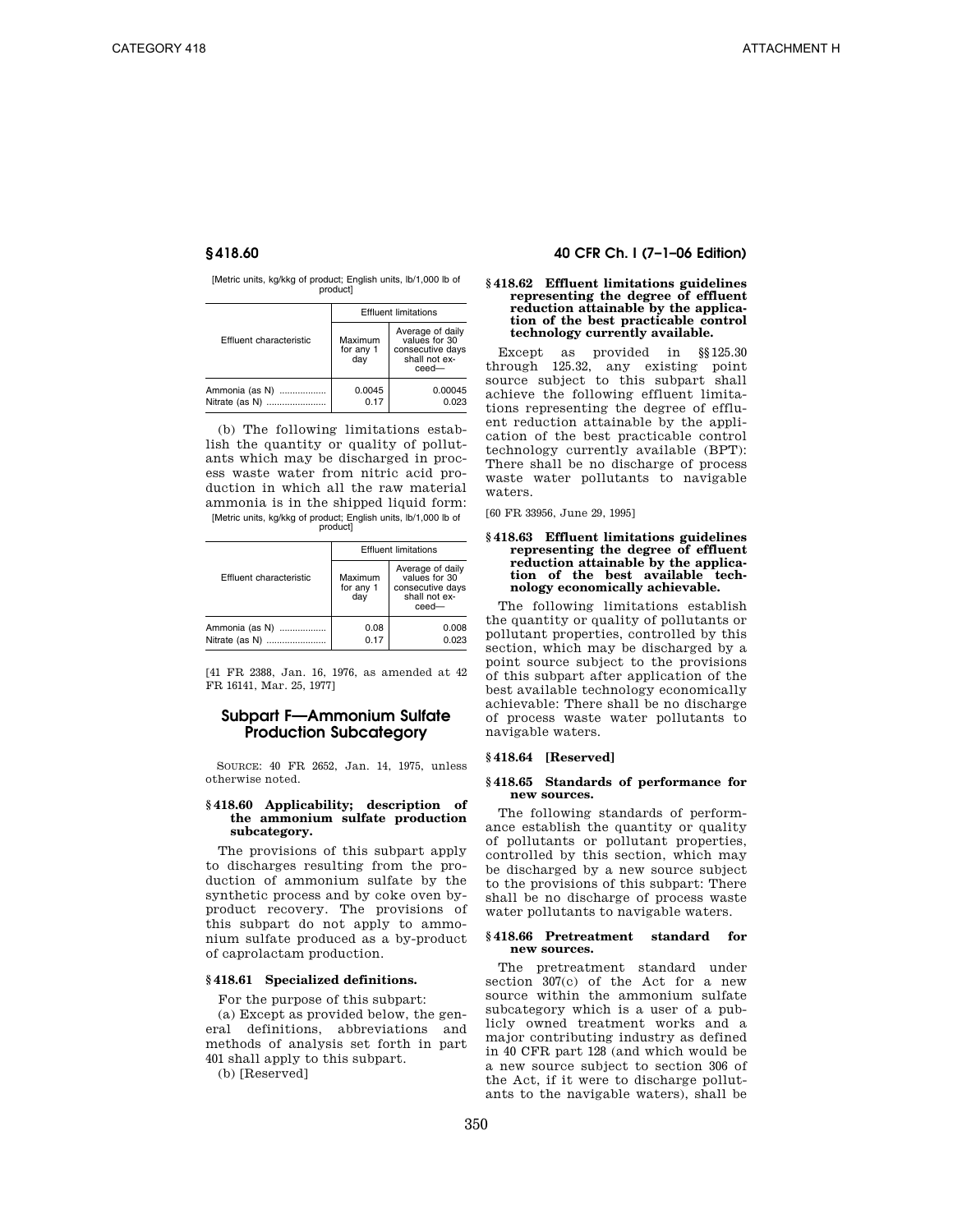[Metric units, kg/kkg of product; English units, lb/1,000 lb of product]

|                                  |                             | <b>Effluent limitations</b>                                                        |
|----------------------------------|-----------------------------|------------------------------------------------------------------------------------|
| Effluent characteristic          | Maximum<br>for any 1<br>dav | Average of daily<br>values for 30<br>consecutive days<br>shall not ex-<br>$ceed -$ |
| Ammonia (as N)<br>Nitrate (as N) | 0.0045<br>0.17              | 0.00045<br>0.023                                                                   |

(b) The following limitations establish the quantity or quality of pollutants which may be discharged in process waste water from nitric acid production in which all the raw material ammonia is in the shipped liquid form: [Metric units, kg/kkg of product; English units, lb/1,000 lb of product]

|                                  |                             | <b>Effluent limitations</b>                                                     |  |
|----------------------------------|-----------------------------|---------------------------------------------------------------------------------|--|
| Effluent characteristic          | Maximum<br>for any 1<br>dav | Average of daily<br>values for 30<br>consecutive days<br>shall not ex-<br>ceed- |  |
| Ammonia (as N)<br>Nitrate (as N) | 0.08<br>0.17                | 0.008<br>0.023                                                                  |  |

[41 FR 2388, Jan. 16, 1976, as amended at 42 FR 16141, Mar. 25, 1977]

# **Subpart F—Ammonium Sulfate Production Subcategory**

SOURCE: 40 FR 2652, Jan. 14, 1975, unless otherwise noted.

#### **§ 418.60 Applicability; description of the ammonium sulfate production subcategory.**

The provisions of this subpart apply to discharges resulting from the production of ammonium sulfate by the synthetic process and by coke oven byproduct recovery. The provisions of this subpart do not apply to ammonium sulfate produced as a by-product of caprolactam production.

### **§ 418.61 Specialized definitions.**

For the purpose of this subpart:

(a) Except as provided below, the general definitions, abbreviations and methods of analysis set forth in part 401 shall apply to this subpart.

(b) [Reserved]

# **§ 418.60 40 CFR Ch. I (7–1–06 Edition)**

#### **§ 418.62 Effluent limitations guidelines representing the degree of effluent reduction attainable by the application of the best practicable control technology currently available.**

Except as provided in §§125.30 through 125.32, any existing point source subject to this subpart shall achieve the following effluent limitations representing the degree of effluent reduction attainable by the application of the best practicable control technology currently available (BPT): There shall be no discharge of process waste water pollutants to navigable waters.

[60 FR 33956, June 29, 1995]

#### **§ 418.63 Effluent limitations guidelines representing the degree of effluent reduction attainable by the application of the best available technology economically achievable.**

The following limitations establish the quantity or quality of pollutants or pollutant properties, controlled by this section, which may be discharged by a point source subject to the provisions of this subpart after application of the best available technology economically achievable: There shall be no discharge of process waste water pollutants to navigable waters.

#### **§ 418.64 [Reserved]**

### **§ 418.65 Standards of performance for new sources.**

The following standards of performance establish the quantity or quality of pollutants or pollutant properties, controlled by this section, which may be discharged by a new source subject to the provisions of this subpart: There shall be no discharge of process waste water pollutants to navigable waters.

#### **§ 418.66 Pretreatment standard for new sources.**

The pretreatment standard under section 307(c) of the Act for a new source within the ammonium sulfate subcategory which is a user of a publicly owned treatment works and a major contributing industry as defined in 40 CFR part 128 (and which would be a new source subject to section 306 of the Act, if it were to discharge pollutants to the navigable waters), shall be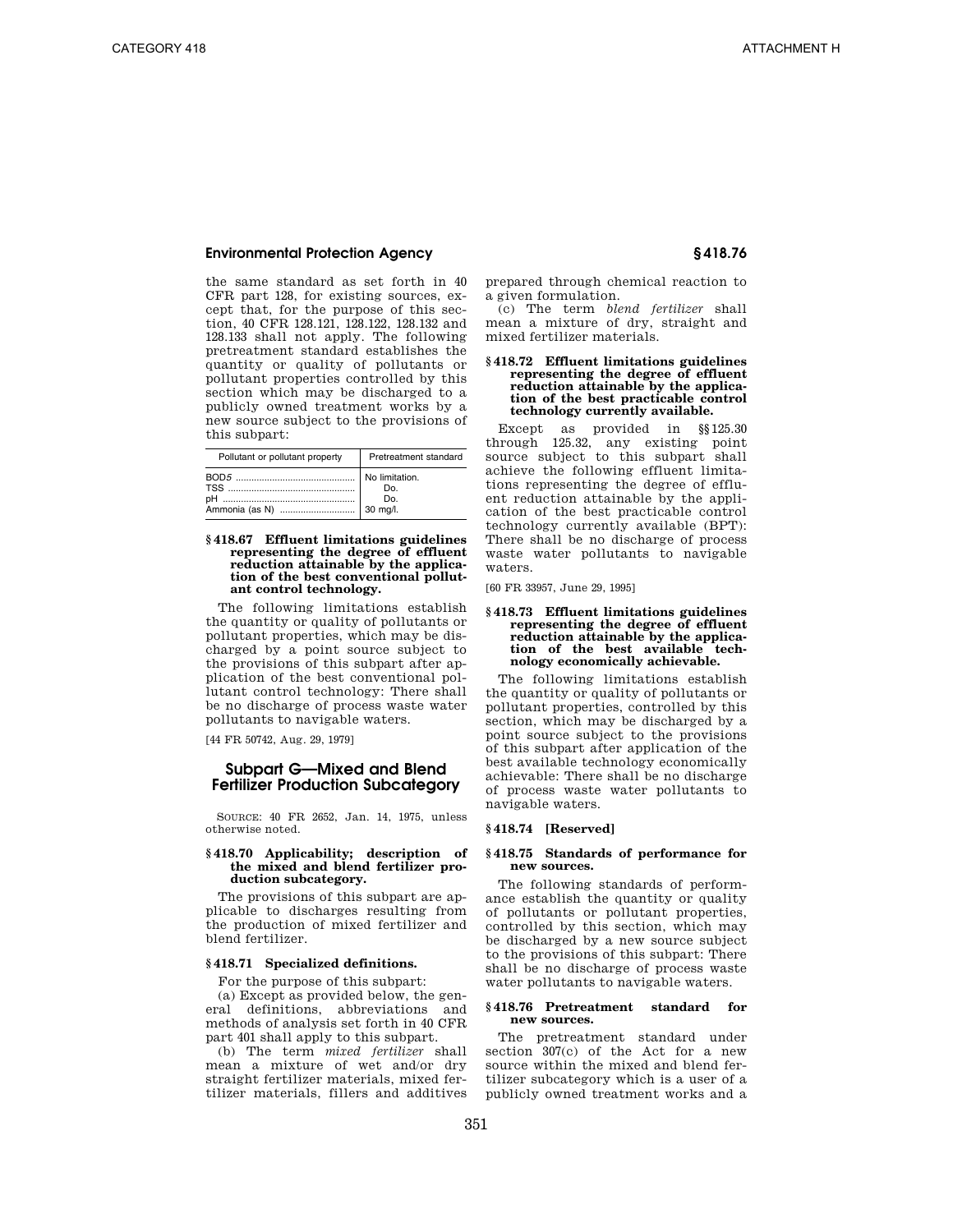the same standard as set forth in 40 CFR part 128, for existing sources, except that, for the purpose of this section, 40 CFR 128.121, 128.122, 128.132 and 128.133 shall not apply. The following pretreatment standard establishes the quantity or quality of pollutants or pollutant properties controlled by this section which may be discharged to a publicly owned treatment works by a new source subject to the provisions of this subpart:

| Pollutant or pollutant property | Pretreatment standard |
|---------------------------------|-----------------------|
|                                 | Do.<br>Do.            |

### **§ 418.67 Effluent limitations guidelines representing the degree of effluent reduction attainable by the application of the best conventional pollutant control technology.**

The following limitations establish the quantity or quality of pollutants or pollutant properties, which may be discharged by a point source subject to the provisions of this subpart after application of the best conventional pollutant control technology: There shall be no discharge of process waste water pollutants to navigable waters.

[44 FR 50742, Aug. 29, 1979]

# **Subpart G—Mixed and Blend Fertilizer Production Subcategory**

SOURCE: 40 FR 2652, Jan. 14, 1975, unless otherwise noted.

#### **§ 418.70 Applicability; description of the mixed and blend fertilizer production subcategory.**

The provisions of this subpart are applicable to discharges resulting from the production of mixed fertilizer and blend fertilizer.

# **§ 418.71 Specialized definitions.**

For the purpose of this subpart:

(a) Except as provided below, the general definitions, abbreviations and methods of analysis set forth in 40 CFR part 401 shall apply to this subpart.

(b) The term *mixed fertilizer* shall mean a mixture of wet and/or dry straight fertilizer materials, mixed fertilizer materials, fillers and additives prepared through chemical reaction to a given formulation.

(c) The term *blend fertilizer* shall mean a mixture of dry, straight and mixed fertilizer materials.

#### **§ 418.72 Effluent limitations guidelines representing the degree of effluent reduction attainable by the application of the best practicable control technology currently available.**

Except as provided in §§125.30 through 125.32, any existing point source subject to this subpart shall achieve the following effluent limitations representing the degree of effluent reduction attainable by the application of the best practicable control technology currently available (BPT): There shall be no discharge of process waste water pollutants to navigable waters.

[60 FR 33957, June 29, 1995]

#### **§ 418.73 Effluent limitations guidelines representing the degree of effluent reduction attainable by the application of the best available technology economically achievable.**

The following limitations establish the quantity or quality of pollutants or pollutant properties, controlled by this section, which may be discharged by a point source subject to the provisions of this subpart after application of the best available technology economically achievable: There shall be no discharge of process waste water pollutants to navigable waters.

# **§ 418.74 [Reserved]**

### **§ 418.75 Standards of performance for new sources.**

The following standards of performance establish the quantity or quality of pollutants or pollutant properties, controlled by this section, which may be discharged by a new source subject to the provisions of this subpart: There shall be no discharge of process waste water pollutants to navigable waters.

### **§ 418.76 Pretreatment standard for new sources.**

The pretreatment standard under section 307(c) of the Act for a new source within the mixed and blend fertilizer subcategory which is a user of a publicly owned treatment works and a